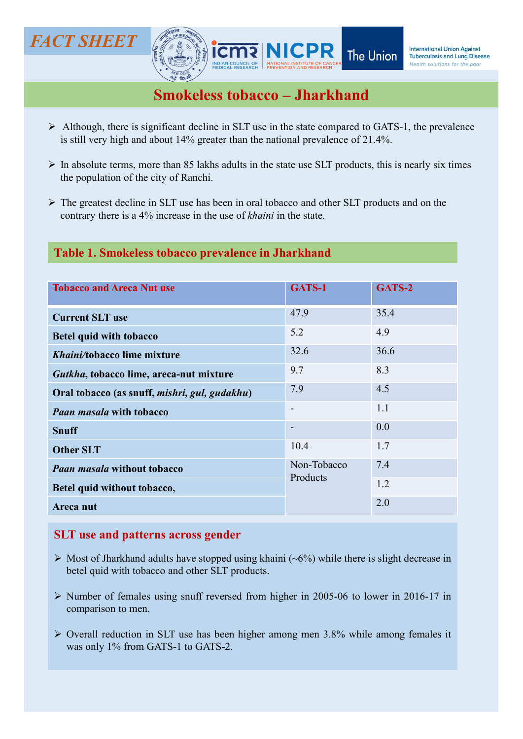

- $\triangleright$  Although, there is significant decline in SLT use in the state compared to GATS-1, the prevalence is still very high and about 14% greater than the national prevalence of 21.4%.
- the population of the city of Ranchi.
- The greatest decline in SLT use has been in oral tobacco and other SLT products and on the contrary there is a 4% increase in the use of khaini in the state.

# Table 1. Smokeless tobacco prevalence in Jharkhand

| <b>VDIAN COUNCIL OF</b>                                                                                                                                                                               |                          | Health solutions for the poor |
|-------------------------------------------------------------------------------------------------------------------------------------------------------------------------------------------------------|--------------------------|-------------------------------|
| <b>Smokeless tobacco - Jharkhand</b>                                                                                                                                                                  |                          |                               |
| $\triangleright$ Although, there is significant decline in SLT use in the state compared to GATS-1, the prevalence<br>is still very high and about 14% greater than the national prevalence of 21.4%. |                          |                               |
| $\triangleright$ In absolute terms, more than 85 lakhs adults in the state use SLT products, this is nearly six times<br>the population of the city of Ranchi.                                        |                          |                               |
| $\triangleright$ The greatest decline in SLT use has been in oral tobacco and other SLT products and on the<br>contrary there is a 4% increase in the use of <i>khaini</i> in the state.              |                          |                               |
| Table 1. Smokeless tobacco prevalence in Jharkhand                                                                                                                                                    |                          |                               |
| <b>Tobacco and Areca Nut use</b>                                                                                                                                                                      | GATS-1                   | GATS-2                        |
| <b>Current SLT use</b>                                                                                                                                                                                | 47.9                     | 35.4                          |
| <b>Betel quid with tobacco</b>                                                                                                                                                                        | 5.2                      | 4.9                           |
| Khaini/tobacco lime mixture                                                                                                                                                                           | 32.6                     | 36.6                          |
| Gutkha, tobacco lime, areca-nut mixture                                                                                                                                                               | 9.7                      | 8.3                           |
| Oral tobacco (as snuff, mishri, gul, gudakhu)                                                                                                                                                         | 7.9                      | 4.5                           |
| <b>Paan masala with tobacco</b>                                                                                                                                                                       | $\overline{\phantom{a}}$ | 1.1                           |
| <b>Snuff</b>                                                                                                                                                                                          |                          | 0.0                           |
| <b>Other SLT</b>                                                                                                                                                                                      | 10.4                     | 1.7                           |
| <b>Paan masala without tobacco</b>                                                                                                                                                                    | Non-Tobacco              | 7.4                           |
| Betel quid without tobacco,                                                                                                                                                                           | Products                 | 1.2                           |
| Areca nut                                                                                                                                                                                             |                          | 2.0                           |
| <b>SLT</b> use and patterns across gender                                                                                                                                                             |                          |                               |
| $\triangleright$ Most of Jharkhand adults have stopped using khaini (~6%) while there is slight decrease in<br>betel quid with tobacco and other SLT products.                                        |                          |                               |
| > Number of females using snuff reversed from higher in 2005-06 to lower in 2016-17 in<br>comparison to men.                                                                                          |                          |                               |
| $\triangleright$ Overall reduction in SLT use has been higher among men 3.8% while among females it<br>was only 1% from GATS-1 to GATS-2.                                                             |                          |                               |
|                                                                                                                                                                                                       |                          |                               |
|                                                                                                                                                                                                       |                          |                               |

- 
- 
-